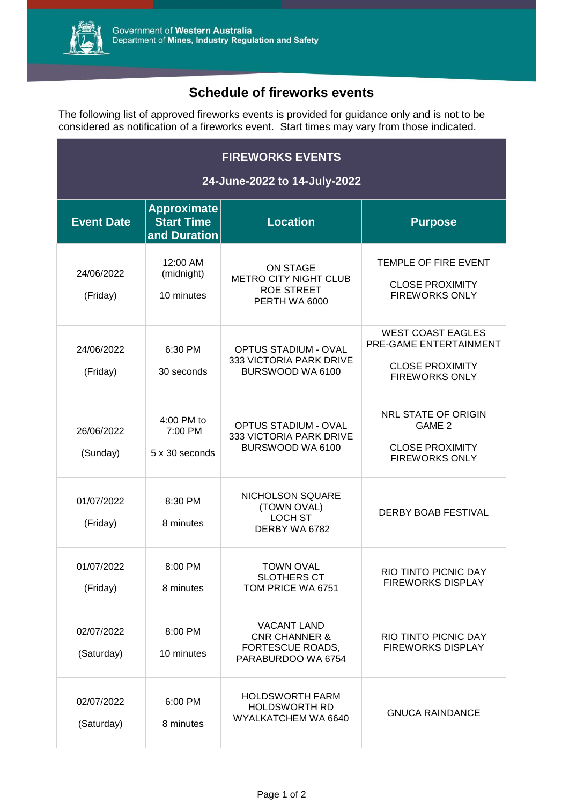

## **Schedule of fireworks events**

The following list of approved fireworks events is provided for guidance only and is not to be considered as notification of a fireworks event. Start times may vary from those indicated.

| <b>FIREWORKS EVENTS</b><br>24-June-2022 to 14-July-2022 |                                                         |                                                                                          |                                                                                                       |  |  |
|---------------------------------------------------------|---------------------------------------------------------|------------------------------------------------------------------------------------------|-------------------------------------------------------------------------------------------------------|--|--|
| <b>Event Date</b>                                       | <b>Approximate</b><br><b>Start Time</b><br>and Duration | <b>Location</b>                                                                          | <b>Purpose</b>                                                                                        |  |  |
| 24/06/2022<br>(Friday)                                  | 12:00 AM<br>(midnight)<br>10 minutes                    | <b>ON STAGE</b><br><b>METRO CITY NIGHT CLUB</b><br><b>ROE STREET</b><br>PERTH WA 6000    | TEMPLE OF FIRE EVENT<br><b>CLOSE PROXIMITY</b><br><b>FIREWORKS ONLY</b>                               |  |  |
| 24/06/2022<br>(Friday)                                  | 6:30 PM<br>30 seconds                                   | <b>OPTUS STADIUM - OVAL</b><br>333 VICTORIA PARK DRIVE<br>BURSWOOD WA 6100               | <b>WEST COAST EAGLES</b><br>PRE-GAME ENTERTAINMENT<br><b>CLOSE PROXIMITY</b><br><b>FIREWORKS ONLY</b> |  |  |
| 26/06/2022<br>(Sunday)                                  | 4:00 PM to<br>7:00 PM<br>5 x 30 seconds                 | <b>OPTUS STADIUM - OVAL</b><br>333 VICTORIA PARK DRIVE<br>BURSWOOD WA 6100               | <b>NRL STATE OF ORIGIN</b><br>GAME 2<br><b>CLOSE PROXIMITY</b><br><b>FIREWORKS ONLY</b>               |  |  |
| 01/07/2022<br>(Friday)                                  | 8:30 PM<br>8 minutes                                    | NICHOLSON SQUARE<br>(TOWN OVAL)<br><b>LOCH ST</b><br>DERBY WA 6782                       | <b>DERBY BOAB FESTIVAL</b>                                                                            |  |  |
| 01/07/2022<br>(Friday)                                  | 8:00 PM<br>8 minutes                                    | TOWN OVAL<br><b>SLOTHERS CT</b><br>TOM PRICE WA 6751                                     | RIO TINTO PICNIC DAY<br><b>FIREWORKS DISPLAY</b>                                                      |  |  |
| 02/07/2022<br>(Saturday)                                | 8:00 PM<br>10 minutes                                   | <b>VACANT LAND</b><br><b>CNR CHANNER &amp;</b><br>FORTESCUE ROADS,<br>PARABURDOO WA 6754 | RIO TINTO PICNIC DAY<br><b>FIREWORKS DISPLAY</b>                                                      |  |  |
| 02/07/2022<br>(Saturday)                                | 6:00 PM<br>8 minutes                                    | <b>HOLDSWORTH FARM</b><br>HOLDSWORTH RD<br>WYALKATCHEM WA 6640                           | <b>GNUCA RAINDANCE</b>                                                                                |  |  |